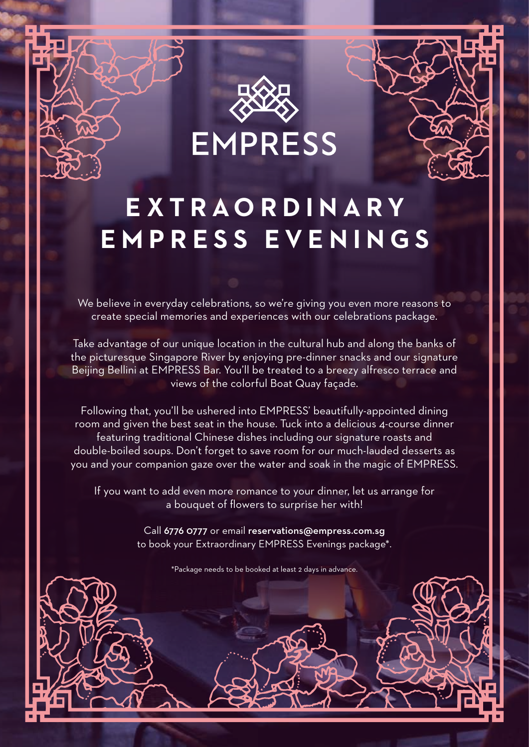

# **EXTRAORDINARY EMPRESS EVENINGS**

We believe in everyday celebrations, so we're giving you even more reasons to create special memories and experiences with our celebrations package.

Take advantage of our unique location in the cultural hub and along the banks of the picturesque Singapore River by enjoying pre-dinner snacks and our signature Beijing Bellini at EMPRESS Bar. You'll be treated to a breezy alfresco terrace and views of the colorful Boat Quay façade.

Following that, you'll be ushered into EMPRESS' beautifully-appointed dining room and given the best seat in the house. Tuck into a delicious 4-course dinner featuring traditional Chinese dishes including our signature roasts and double-boiled soups. Don't forget to save room for our much-lauded desserts as you and your companion gaze over the water and soak in the magic of EMPRESS.

If you want to add even more romance to your dinner, let us arrange for a bouquet of flowers to surprise her with!

> Call 6776 0777 or email reservations@empress.com.sg to book your Extraordinary EMPRESS Evenings package\*.

> > \*Package needs to be booked at least 2 days in advance.